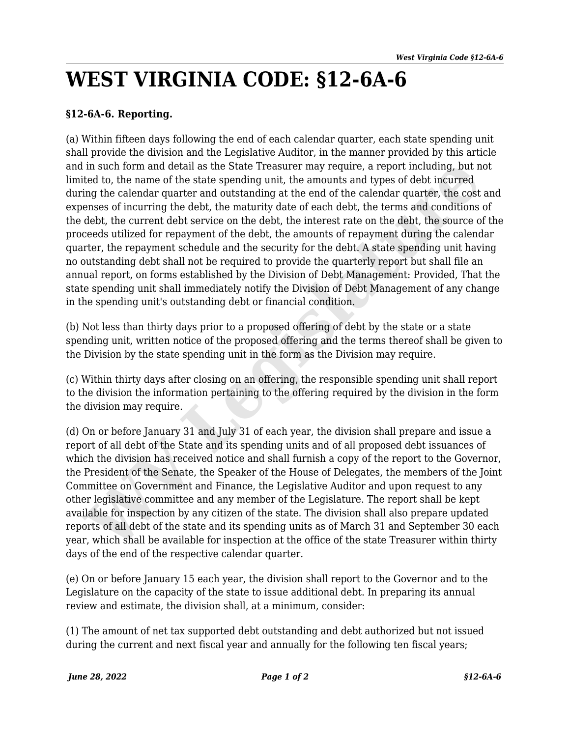## **WEST VIRGINIA CODE: §12-6A-6**

## **§12-6A-6. Reporting.**

(a) Within fifteen days following the end of each calendar quarter, each state spending unit shall provide the division and the Legislative Auditor, in the manner provided by this article and in such form and detail as the State Treasurer may require, a report including, but not limited to, the name of the state spending unit, the amounts and types of debt incurred during the calendar quarter and outstanding at the end of the calendar quarter, the cost and expenses of incurring the debt, the maturity date of each debt, the terms and conditions of the debt, the current debt service on the debt, the interest rate on the debt, the source of the proceeds utilized for repayment of the debt, the amounts of repayment during the calendar quarter, the repayment schedule and the security for the debt. A state spending unit having no outstanding debt shall not be required to provide the quarterly report but shall file an annual report, on forms established by the Division of Debt Management: Provided, That the state spending unit shall immediately notify the Division of Debt Management of any change in the spending unit's outstanding debt or financial condition. I in such form and detail as the State Treasurer may require, a report including, but inclusing time detail as the State freederic ing the calendar quarter and outstanding ut the end of the calendar quarter, the cost ing t

(b) Not less than thirty days prior to a proposed offering of debt by the state or a state spending unit, written notice of the proposed offering and the terms thereof shall be given to the Division by the state spending unit in the form as the Division may require.

(c) Within thirty days after closing on an offering, the responsible spending unit shall report to the division the information pertaining to the offering required by the division in the form the division may require.

(d) On or before January 31 and July 31 of each year, the division shall prepare and issue a report of all debt of the State and its spending units and of all proposed debt issuances of which the division has received notice and shall furnish a copy of the report to the Governor, the President of the Senate, the Speaker of the House of Delegates, the members of the Joint Committee on Government and Finance, the Legislative Auditor and upon request to any other legislative committee and any member of the Legislature. The report shall be kept available for inspection by any citizen of the state. The division shall also prepare updated reports of all debt of the state and its spending units as of March 31 and September 30 each year, which shall be available for inspection at the office of the state Treasurer within thirty days of the end of the respective calendar quarter.

(e) On or before January 15 each year, the division shall report to the Governor and to the Legislature on the capacity of the state to issue additional debt. In preparing its annual review and estimate, the division shall, at a minimum, consider:

(1) The amount of net tax supported debt outstanding and debt authorized but not issued during the current and next fiscal year and annually for the following ten fiscal years;